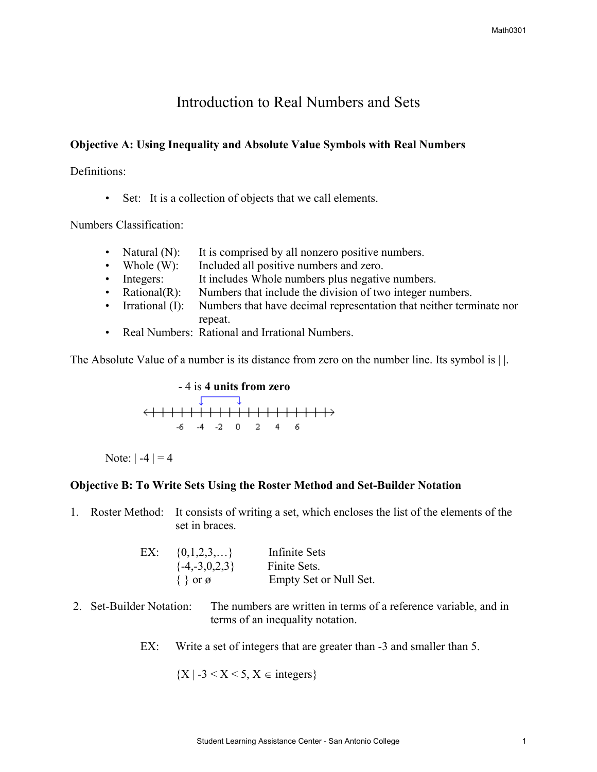# Introduction to Real Numbers and Sets

## **Objective A: Using Inequality and Absolute Value Symbols with Real Numbers**

Definitions:

• Set: It is a collection of objects that we call elements.

Numbers Classification:

- Natural (N): It is comprised by all nonzero positive numbers.
- Whole (W): Included all positive numbers and zero.
- Integers: It includes Whole numbers plus negative numbers.
- Rational(R): Numbers that include the division of two integer numbers.
- Irrational (I): Numbers that have decimal representation that neither terminate nor repeat.
- Real Numbers: Rational and Irrational Numbers.

The Absolute Value of a number is its distance from zero on the number line. Its symbol is | |.



Note:  $|-4| = 4$ 

### **Objective B: To Write Sets Using the Roster Method and Set-Builder Notation**

1. Roster Method: It consists of writing a set, which encloses the list of the elements of the set in braces.

| EX: $\{0,1,2,3,\}$    | Infinite Sets          |
|-----------------------|------------------------|
| $\{-4,-3,0,2,3\}$     | Finite Sets.           |
| $\{\}$ or $\emptyset$ | Empty Set or Null Set. |

- 2. Set-Builder Notation: The numbers are written in terms of a reference variable, and in terms of an inequality notation.
	- EX: Write a set of integers that are greater than  $-3$  and smaller than 5.

 ${X \mid -3 \le X \le 5, X \in integers}$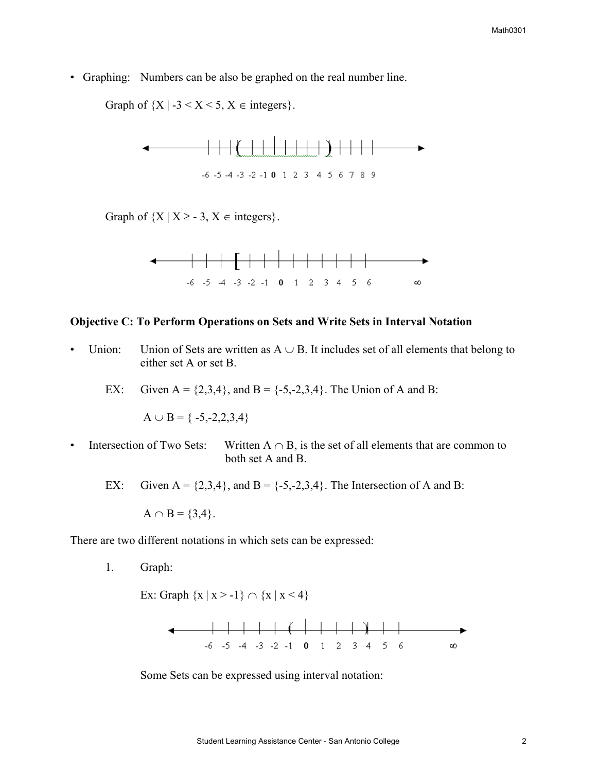• Graphing: Numbers can be also be graphed on the real number line.

Graph of  ${X \mid -3 \le X \le 5, X \in \text{integers}}$ .



Graph of  ${X | X \ge -3, X \in \text{integers}}$ .



#### **Objective C: To Perform Operations on Sets and Write Sets in Interval Notation**

- Union: Union of Sets are written as  $A \cup B$ . It includes set of all elements that belong to either set A or set B.
	- EX: Given  $A = \{2,3,4\}$ , and  $B = \{-5,-2,3,4\}$ . The Union of A and B:

 $A \cup B = \{-5,-2,2,3,4\}$ 

- Intersection of Two Sets: Written  $A \cap B$ , is the set of all elements that are common to both set A and B.
	- EX: Given  $A = \{2,3,4\}$ , and  $B = \{-5,-2,3,4\}$ . The Intersection of A and B:

 $A \cap B = \{3, 4\}.$ 

There are two different notations in which sets can be expressed:

1. Graph:

Ex: Graph  $\{x \mid x > -1\} \cap \{x \mid x \le 4\}$ 



Some Sets can be expressed using interval notation: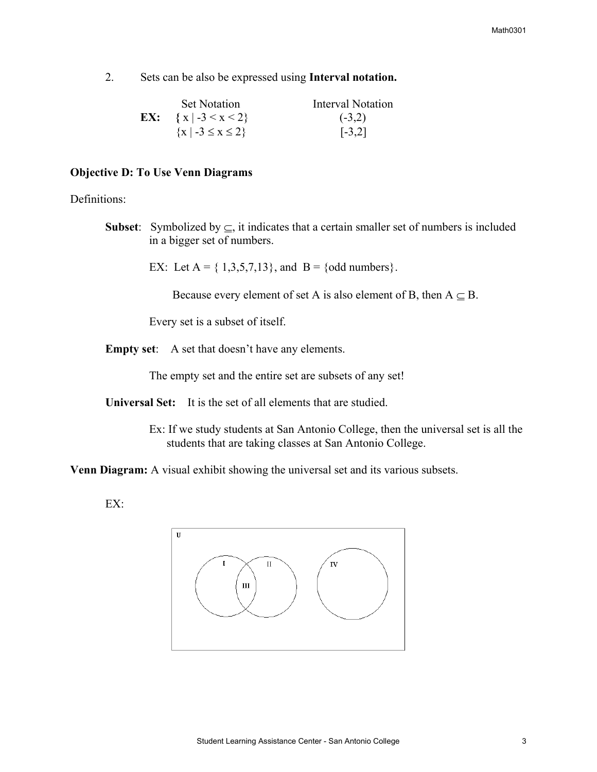2. Sets can be also be expressed using **Interval notation.** 

| <b>Set Notation</b>                    | Interval Notation |
|----------------------------------------|-------------------|
| <b>EX:</b> $\{x \mid -3 \le x \le 2\}$ | $(-3,2)$          |
| $\{x \mid -3 \le x \le 2\}$            | $[-3,2]$          |

#### **Objective D: To Use Venn Diagrams**

Definitions:

**Subset**: Symbolized by  $\subseteq$ , it indicates that a certain smaller set of numbers is included in a bigger set of numbers.

EX: Let  $A = \{ 1,3,5,7,13 \}$ , and  $B = \{odd \text{ numbers} \}$ .

Because every element of set A is also element of B, then  $A \subseteq B$ .

Every set is a subset of itself.

**Empty set**: A set that doesn't have any elements.

The empty set and the entire set are subsets of any set!

**Universal Set:** It is the set of all elements that are studied.

 Ex: If we study students at San Antonio College, then the universal set is all the students that are taking classes at San Antonio College.

**Venn Diagram:** A visual exhibit showing the universal set and its various subsets.

EX: